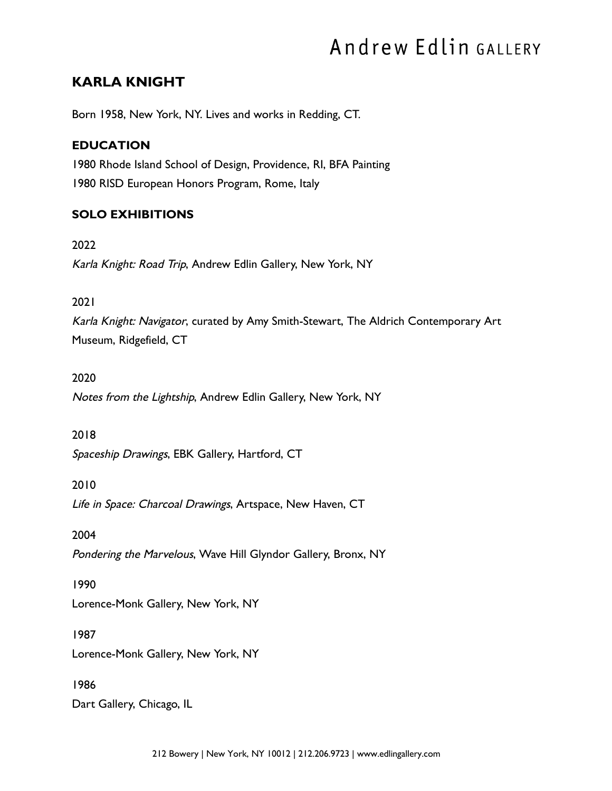# Andrew Edlin GALLERY

## KARLA KNIGHT

Born 1958, New York, NY. Lives and works in Redding, CT.

## EDUCATION

 1980 Rhode Island School of Design, Providence, RI, BFA Painting 1980 RISD European Honors Program, Rome, Italy

## SOLO EXHIBITIONS

 2022 Karla Knight: Road Trip, Andrew Edlin Gallery, New York, NY

#### 2021

 Karla Knight: Navigator, curated by Amy Smith-Stewart, The Aldrich Contemporary Art Museum, Ridgefield, CT

#### 2020

Notes from the Lightship, Andrew Edlin Gallery, New York, NY

#### 2018

Spaceship Drawings, EBK Gallery, Hartford, CT

## 2010

Life in Space: Charcoal Drawings, Artspace, New Haven, CT

## 2004

Pondering the Marvelous, Wave Hill Glyndor Gallery, Bronx, NY

## 1990

Lorence-Monk Gallery, New York, NY

## 1987

Lorence-Monk Gallery, New York, NY

## 1986

Dart Gallery, Chicago, IL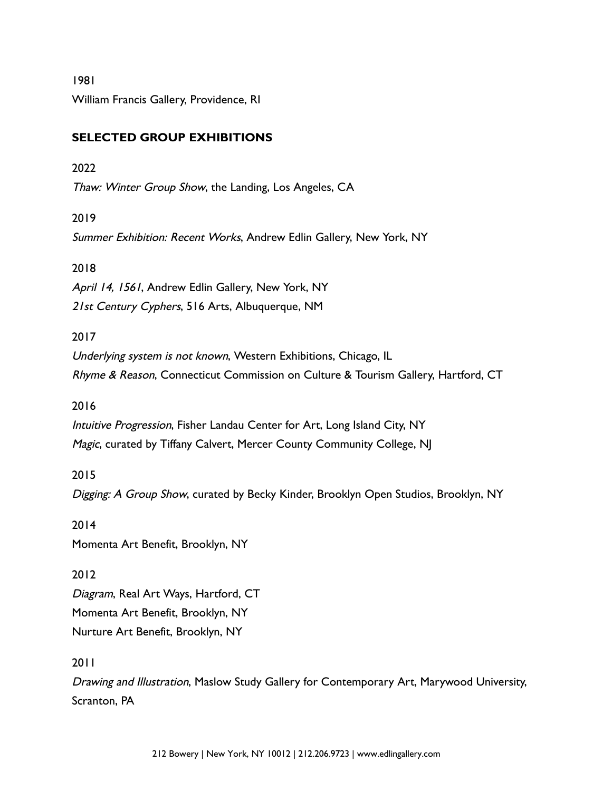1981 William Francis Gallery, Providence, RI

## SELECTED GROUP EXHIBITIONS

#### 2022

Thaw: Winter Group Show, the Landing, Los Angeles, CA

## 2019

Summer Exhibition: Recent Works, Andrew Edlin Gallery, New York, NY

## 2018

April 14, 1561, Andrew Edlin Gallery, New York, NY 21st Century Cyphers, 516 Arts, Albuquerque, NM

## 2017

 Underlying system is not known, Western Exhibitions, Chicago, IL Rhyme & Reason, Connecticut Commission on Culture & Tourism Gallery, Hartford, CT

## 2016

 Intuitive Progression, Fisher Landau Center for Art, Long Island City, NY Magic, curated by Tiffany Calvert, Mercer County Community College, NJ

## 2015

Digging: A Group Show, curated by Becky Kinder, Brooklyn Open Studios, Brooklyn, NY

2014

Momenta Art Benefit, Brooklyn, NY

## 2012

 Diagram, Real Art Ways, Hartford, CT Momenta Art Benefit, Brooklyn, NY Nurture Art Benefit, Brooklyn, NY

## 2011

 Drawing and Illustration, Maslow Study Gallery for Contemporary Art, Marywood University, Scranton, PA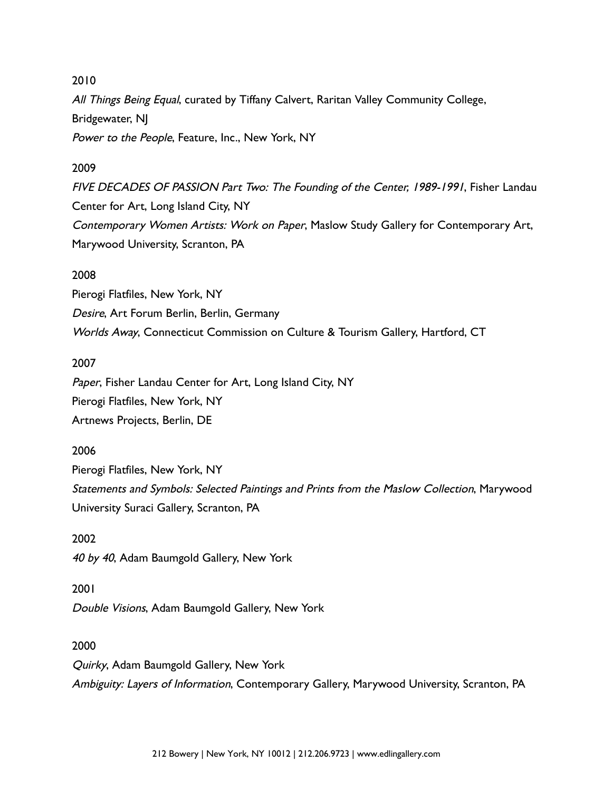#### 2010

All Things Being Equal, curated by Tiffany Calvert, Raritan Valley Community College, Bridgewater, NJ Power to the People, Feature, Inc., New York, NY

#### 2009

 FIVE DECADES OF PASSION Part Two: The Founding of the Center, 1989-1991, Fisher Landau Center for Art, Long Island City, NY Contemporary Women Artists: Work on Paper, Maslow Study Gallery for Contemporary Art, Marywood University, Scranton, PA

#### 2008

 Pierogi Flatfiles, New York, NY Desire, Art Forum Berlin, Berlin, Germany Worlds Away, Connecticut Commission on Culture & Tourism Gallery, Hartford, CT

#### 2007

Paper, Fisher Landau Center for Art, Long Island City, NY Pierogi Flatfiles, New York, NY Artnews Projects, Berlin, DE

#### 2006

 Pierogi Flatfiles, New York, NY Statements and Symbols: Selected Paintings and Prints from the Maslow Collection, Marywood University Suraci Gallery, Scranton, PA

#### 2002

40 by 40, Adam Baumgold Gallery, New York

#### 2001

Double Visions, Adam Baumgold Gallery, New York

#### 2000

 Quirky, Adam Baumgold Gallery, New York Ambiguity: Layers of Information, Contemporary Gallery, Marywood University, Scranton, PA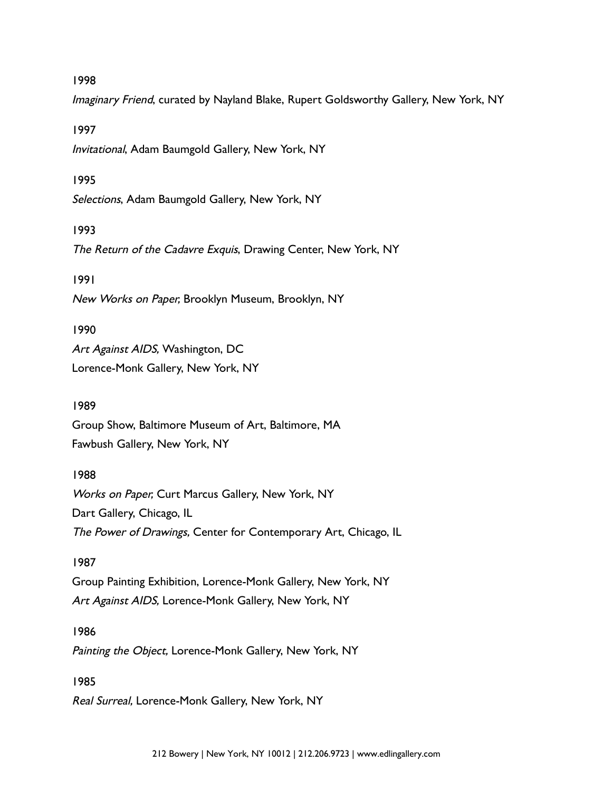#### 1998

Imaginary Friend, curated by Nayland Blake, Rupert Goldsworthy Gallery, New York, NY

#### 1997

Invitational, Adam Baumgold Gallery, New York, NY

#### 1995

Selections, Adam Baumgold Gallery, New York, NY

#### 1993

The Return of the Cadavre Exquis, Drawing Center, New York, NY

#### 1991

New Works on Paper, Brooklyn Museum, Brooklyn, NY

#### 1990

Art Against AIDS, Washington, DC

Lorence-Monk Gallery, New York, NY

#### 1989

 Group Show, Baltimore Museum of Art, Baltimore, MA Fawbush Gallery, New York, NY

#### 1988

 Works on Paper, Curt Marcus Gallery, New York, NY Dart Gallery, Chicago, IL The Power of Drawings, Center for Contemporary Art, Chicago, IL

#### 1987

 Group Painting Exhibition, Lorence-Monk Gallery, New York, NY Art Against AIDS, Lorence-Monk Gallery, New York, NY

#### 1986

Painting the Object, Lorence-Monk Gallery, New York, NY

#### 1985

Real Surreal, Lorence-Monk Gallery, New York, NY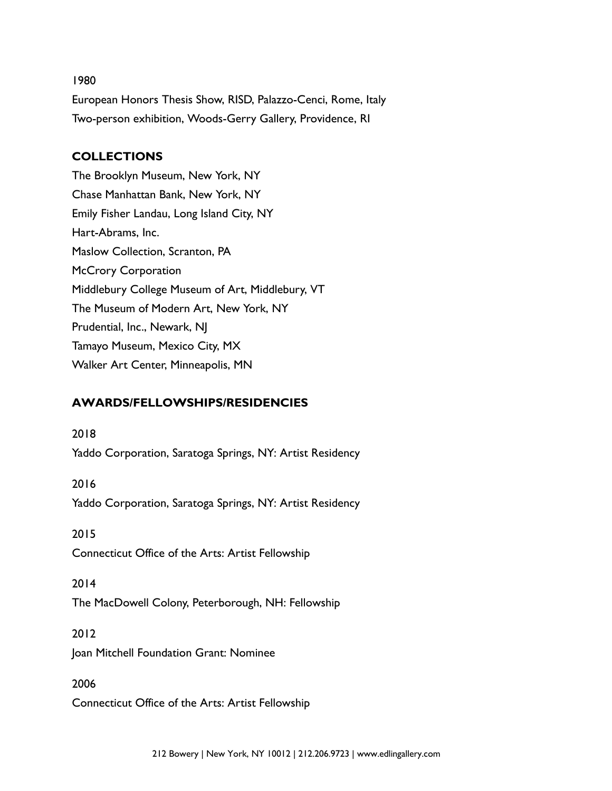#### 1980

 European Honors Thesis Show, RISD, Palazzo-Cenci, Rome, Italy Two-person exhibition, Woods-Gerry Gallery, Providence, RI

## COLLECTIONS

 The Brooklyn Museum, New York, NY Chase Manhattan Bank, New York, NY Emily Fisher Landau, Long Island City, NY Hart-Abrams, Inc. Maslow Collection, Scranton, PA McCrory Corporation Middlebury College Museum of Art, Middlebury, VT The Museum of Modern Art, New York, NY Prudential, Inc., Newark, NJ Tamayo Museum, Mexico City, MX Walker Art Center, Minneapolis, MN

## AWARDS/FELLOWSHIPS/RESIDENCIES

 2018 Yaddo Corporation, Saratoga Springs, NY: Artist Residency

 2016 Yaddo Corporation, Saratoga Springs, NY: Artist Residency

 2015 Connecticut Office of the Arts: Artist Fellowship

#### 2014

The MacDowell Colony, Peterborough, NH: Fellowship

#### 2012

Joan Mitchell Foundation Grant: Nominee

 2006 Connecticut Office of the Arts: Artist Fellowship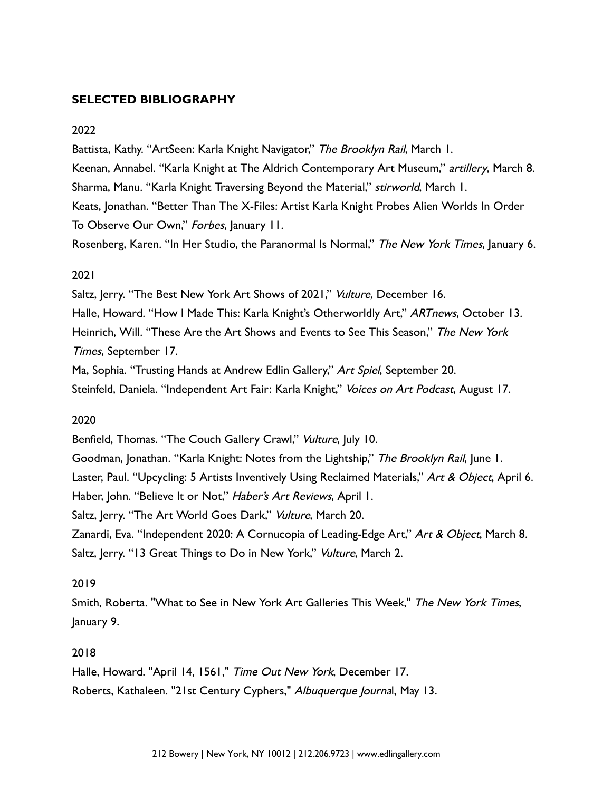#### SELECTED BIBLIOGRAPHY

#### 2022

Battista, Kathy. "ArtSeen: Karla Knight Navigator," The Brooklyn Rail, March 1. Keenan, Annabel. "Karla Knight at The Aldrich Contemporary Art Museum," artillery, March 8. Sharma, Manu. "Karla Knight Traversing Beyond the Material," stirworld, March 1. Keats, Jonathan. "Better Than The X-Files: Artist Karla Knight Probes Alien Worlds In Order To Observe Our Own," Forbes, January 11.

Rosenberg, Karen. "In Her Studio, the Paranormal Is Normal," The New York Times, January 6.

#### 2021

Saltz, Jerry. "The Best New York Art Shows of 2021," Vulture, December 16. Halle, Howard. "How I Made This: Karla Knight's Otherworldly Art," ARTnews, October 13. Heinrich, Will. "These Are the Art Shows and Events to See This Season," The New York Times, September 17.

Ma, Sophia. "Trusting Hands at Andrew Edlin Gallery," Art Spiel, September 20. Steinfeld, Daniela. "Independent Art Fair: Karla Knight," Voices on Art Podcast, August 17.

#### 2020

Benfield, Thomas. "The Couch Gallery Crawl," Vulture, July 10. Goodman, Jonathan. "Karla Knight: Notes from the Lightship," The Brooklyn Rail, June 1. Laster, Paul. "Upcycling: 5 Artists Inventively Using Reclaimed Materials," Art & Object, April 6. Haber, John. "Believe It or Not," Haber's Art Reviews, April 1. Saltz, Jerry. "The Art World Goes Dark," Vulture, March 20. Zanardi, Eva. "Independent 2020: A Cornucopia of Leading-Edge Art," Art & Object, March 8.

Saltz, Jerry. "13 Great Things to Do in New York," Vulture, March 2.

#### 2019

 Smith, Roberta. "What to See in New York Art Galleries This Week," The New York Times, January 9.

#### 2018

 Halle, Howard. "April 14, 1561," Time Out New York, December 17. Roberts, Kathaleen. "21st Century Cyphers," Albuquerque Journal, May 13.